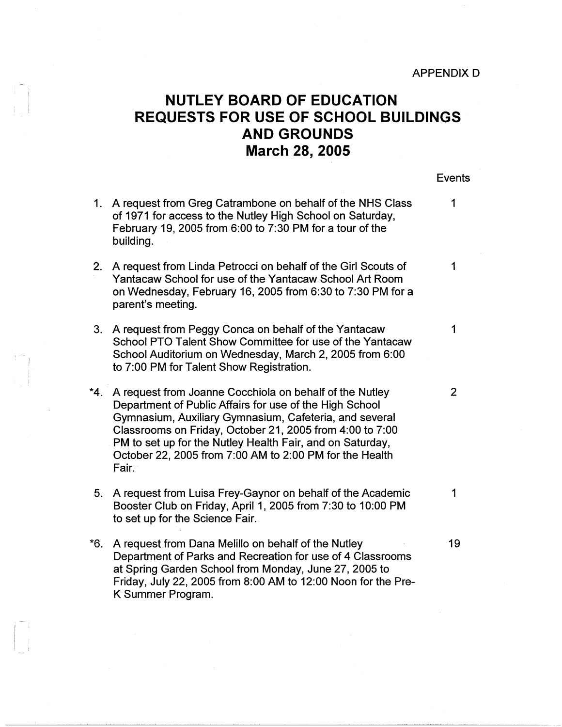## **NUTLEY BOARD OF EDUCATION REQUESTS FOR USE OF SCHOOL BUILDINGS AND GROUNDS March 28, 2005**

Events

|     | 1. A request from Greg Catrambone on behalf of the NHS Class<br>of 1971 for access to the Nutley High School on Saturday,<br>February 19, 2005 from 6:00 to 7:30 PM for a tour of the<br>building.                                                                                                                                                                        | 1              |
|-----|---------------------------------------------------------------------------------------------------------------------------------------------------------------------------------------------------------------------------------------------------------------------------------------------------------------------------------------------------------------------------|----------------|
| 2.  | A request from Linda Petrocci on behalf of the Girl Scouts of<br>Yantacaw School for use of the Yantacaw School Art Room<br>on Wednesday, February 16, 2005 from 6:30 to 7:30 PM for a<br>parent's meeting.                                                                                                                                                               | 1              |
| 3.  | A request from Peggy Conca on behalf of the Yantacaw<br>School PTO Talent Show Committee for use of the Yantacaw<br>School Auditorium on Wednesday, March 2, 2005 from 6:00<br>to 7:00 PM for Talent Show Registration.                                                                                                                                                   | 1              |
| *4. | A request from Joanne Cocchiola on behalf of the Nutley<br>Department of Public Affairs for use of the High School<br>Gymnasium, Auxiliary Gymnasium, Cafeteria, and several<br>Classrooms on Friday, October 21, 2005 from 4:00 to 7:00<br>PM to set up for the Nutley Health Fair, and on Saturday,<br>October 22, 2005 from 7:00 AM to 2:00 PM for the Health<br>Fair. | $\overline{2}$ |
| 5.  | A request from Luisa Frey-Gaynor on behalf of the Academic<br>Booster Club on Friday, April 1, 2005 from 7:30 to 10:00 PM<br>to set up for the Science Fair.                                                                                                                                                                                                              | $\mathbf{1}$   |
| *6. | A request from Dana Melillo on behalf of the Nutley<br>Department of Parks and Recreation for use of 4 Classrooms<br>at Spring Garden School from Monday, June 27, 2005 to<br>Friday, July 22, 2005 from 8:00 AM to 12:00 Noon for the Pre-<br>K Summer Program.                                                                                                          | 19             |

-

I i -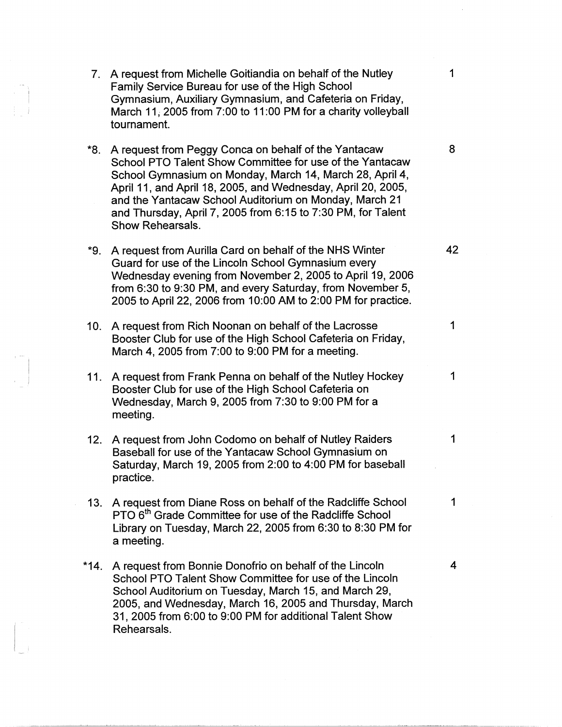- 7. A request from Michelle Goitiandia on behalf of the Nutley 1 Family Service Bureau for use of the High School Gymnasium, Auxiliary Gymnasium, and Cafeteria on Friday, March 11, 2005 from 7:00 to 11:00 PM for a charity volleyball tournament.
- **\*8.** A request from Peggy Conca on behalf of the Yantacaw 8 School PTO Talent Show Committee for use of the Yantacaw School Gymnasium on Monday, March 14, March 28, April 4, April 11, and April 18, 2005, and Wednesday, April 20, 2005, and the Yantacaw School Auditorium on Monday, March 21 and Thursday, April 7, 2005 from 6:15 to 7:30 PM, for Talent Show Rehearsals.
- **\*9.** A request from Aurilla Card on behalf of the NHS Winter **42**  Guard for use of the Lincoln School Gymnasium every Wednesday evening from November 2, 2005 to April 19, 2006 from 6:30 to 9:30 PM, and every Saturday, from November 5, 2005 to April 22, 2006 from 10:00 AM to 2:00 PM for practice.
- 10. A request from Rich Noonan on behalf of the Lacrosse 1 Booster Club for use of the High School Cafeteria on Friday, March 4, 2005 from 7:00 to 9:00 PM for a meeting.
- 11. A request from Frank Penna on behalf of the Nutley Hockey 1 Booster Club for use of the High School Cafeteria on Wednesday, March 9, 2005 from 7:30 to 9:00 PM for a meeting.
- 12. A request from John Codomo on behalf of Nutley Raiders 1 Baseball for use of the Yantacaw School Gymnasium on Saturday, March 19, 2005 from 2:00 to 4:00 PM for baseball practice.
- 13. A request from Diane Ross on behalf of the Radcliffe School 1 PTO 6<sup>th</sup> Grade Committee for use of the Radcliffe School Library on Tuesday, March 22, 2005 from 6:30 to 8:30 PM for a meeting.
- **\*14.** A request from Bonnie Donofrio on behalf of the Lincoln 4 School PTO Talent Show Committee for use of the Lincoln School Auditorium on Tuesday, March 15, and March 29, 2005, and Wednesday, March 16, 2005 and Thursday, March 31, 2005 from 6:00 to 9:00 PM for additional Talent Show Rehearsals.